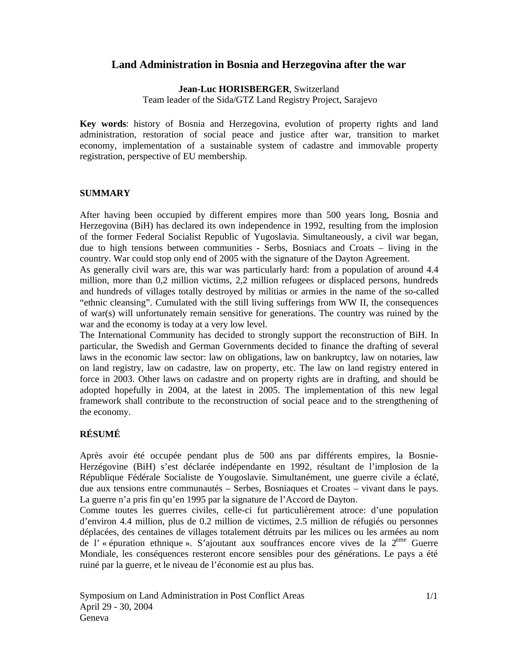# **Land Administration in Bosnia and Herzegovina after the war**

#### **Jean-Luc HORISBERGER**, Switzerland

Team leader of the Sida/GTZ Land Registry Project, Sarajevo

**Key words**: history of Bosnia and Herzegovina, evolution of property rights and land administration, restoration of social peace and justice after war, transition to market economy, implementation of a sustainable system of cadastre and immovable property registration, perspective of EU membership.

### **SUMMARY**

After having been occupied by different empires more than 500 years long, Bosnia and Herzegovina (BiH) has declared its own independence in 1992, resulting from the implosion of the former Federal Socialist Republic of Yugoslavia. Simultaneously, a civil war began, due to high tensions between communities - Serbs, Bosniacs and Croats – living in the country. War could stop only end of 2005 with the signature of the Dayton Agreement.

As generally civil wars are, this war was particularly hard: from a population of around 4.4 million, more than 0,2 million victims, 2,2 million refugees or displaced persons, hundreds and hundreds of villages totally destroyed by militias or armies in the name of the so-called "ethnic cleansing". Cumulated with the still living sufferings from WW II, the consequences of war(s) will unfortunately remain sensitive for generations. The country was ruined by the war and the economy is today at a very low level.

The International Community has decided to strongly support the reconstruction of BiH. In particular, the Swedish and German Governments decided to finance the drafting of several laws in the economic law sector: law on obligations, law on bankruptcy, law on notaries, law on land registry, law on cadastre, law on property, etc. The law on land registry entered in force in 2003. Other laws on cadastre and on property rights are in drafting, and should be adopted hopefully in 2004, at the latest in 2005. The implementation of this new legal framework shall contribute to the reconstruction of social peace and to the strengthening of the economy.

# **RÉSUMÉ**

Après avoir été occupée pendant plus de 500 ans par différents empires, la Bosnie-Herzégovine (BiH) s'est déclarée indépendante en 1992, résultant de l'implosion de la République Fédérale Socialiste de Yougoslavie. Simultanément, une guerre civile a éclaté, due aux tensions entre communautés – Serbes, Bosniaques et Croates – vivant dans le pays. La guerre n'a pris fin qu'en 1995 par la signature de l'Accord de Dayton.

Comme toutes les guerres civiles, celle-ci fut particulièrement atroce: d'une population d'environ 4.4 million, plus de 0.2 million de victimes, 2.5 million de réfugiés ou personnes déplacées, des centaines de villages totalement détruits par les milices ou les armées au nom de l' « épuration ethnique ». S'ajoutant aux souffrances encore vives de la 2ème Guerre Mondiale, les conséquences resteront encore sensibles pour des générations. Le pays a été ruiné par la guerre, et le niveau de l'économie est au plus bas.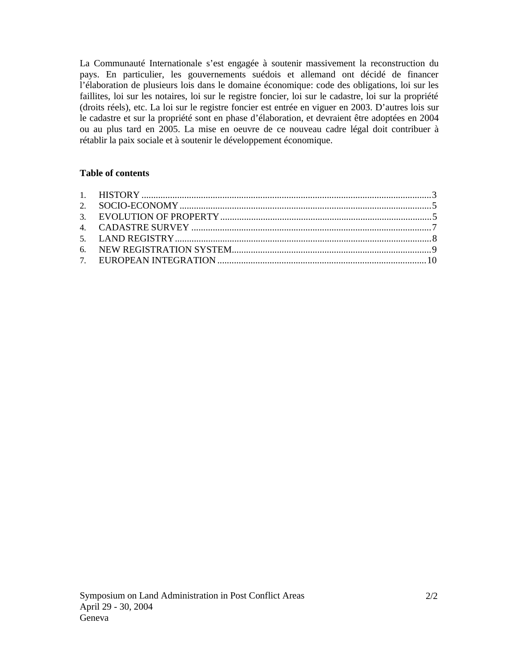La Communauté Internationale s'est engagée à soutenir massivement la reconstruction du pays. En particulier, les gouvernements suédois et allemand ont décidé de financer l'élaboration de plusieurs lois dans le domaine économique: code des obligations, loi sur les faillites, loi sur les notaires, loi sur le registre foncier, loi sur le cadastre, loi sur la propriété (droits réels), etc. La loi sur le registre foncier est entrée en viguer en 2003. D'autres lois sur le cadastre et sur la propriété sont en phase d'élaboration, et devraient être adoptées en 2004 ou au plus tard en 2005. La mise en oeuvre de ce nouveau cadre légal doit contribuer à rétablir la paix sociale et à soutenir le développement économique.

# **Table of contents**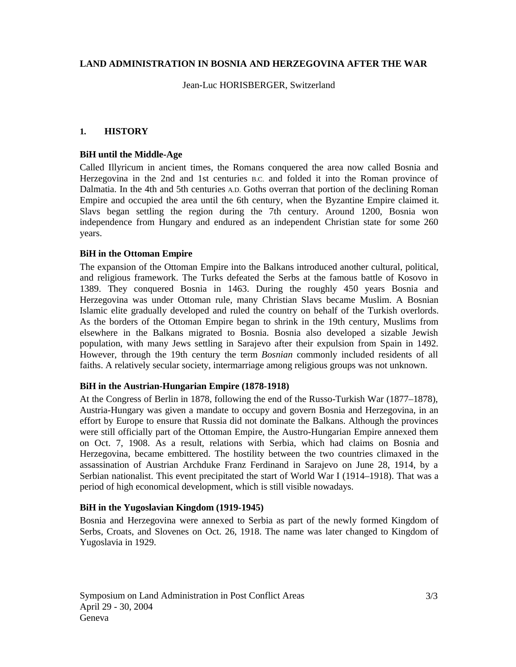### **LAND ADMINISTRATION IN BOSNIA AND HERZEGOVINA AFTER THE WAR**

Jean-Luc HORISBERGER, Switzerland

## **1. HISTORY**

### **BiH until the Middle-Age**

Called Illyricum in ancient times, the Romans conquered the area now called Bosnia and Herzegovina in the 2nd and 1st centuries B.C. and folded it into the Roman province of Dalmatia. In the 4th and 5th centuries A.D. Goths overran that portion of the declining Roman Empire and occupied the area until the 6th century, when the Byzantine Empire claimed it. Slavs began settling the region during the 7th century. Around 1200, Bosnia won independence from Hungary and endured as an independent Christian state for some 260 years.

### **BiH in the Ottoman Empire**

The expansion of the Ottoman Empire into the Balkans introduced another cultural, political, and religious framework. The Turks defeated the Serbs at the famous battle of Kosovo in 1389. They conquered Bosnia in 1463. During the roughly 450 years Bosnia and Herzegovina was under Ottoman rule, many Christian Slavs became Muslim. A Bosnian Islamic elite gradually developed and ruled the country on behalf of the Turkish overlords. As the borders of the Ottoman Empire began to shrink in the 19th century, Muslims from elsewhere in the Balkans migrated to Bosnia. Bosnia also developed a sizable Jewish population, with many Jews settling in Sarajevo after their expulsion from Spain in 1492. However, through the 19th century the term *Bosnian* commonly included residents of all faiths. A relatively secular society, intermarriage among religious groups was not unknown.

#### **BiH in the Austrian-Hungarian Empire (1878-1918)**

At the Congress of Berlin in 1878, following the end of the Russo-Turkish War (1877–1878), Austria-Hungary was given a mandate to occupy and govern Bosnia and Herzegovina, in an effort by Europe to ensure that Russia did not dominate the Balkans. Although the provinces were still officially part of the Ottoman Empire, the Austro-Hungarian Empire annexed them on Oct. 7, 1908. As a result, relations with Serbia, which had claims on Bosnia and Herzegovina, became embittered. The hostility between the two countries climaxed in the assassination of Austrian Archduke Franz Ferdinand in Sarajevo on June 28, 1914, by a Serbian nationalist. This event precipitated the start of World War I (1914–1918). That was a period of high economical development, which is still visible nowadays.

## **BiH in the Yugoslavian Kingdom (1919-1945)**

Bosnia and Herzegovina were annexed to Serbia as part of the newly formed Kingdom of Serbs, Croats, and Slovenes on Oct. 26, 1918. The name was later changed to Kingdom of Yugoslavia in 1929.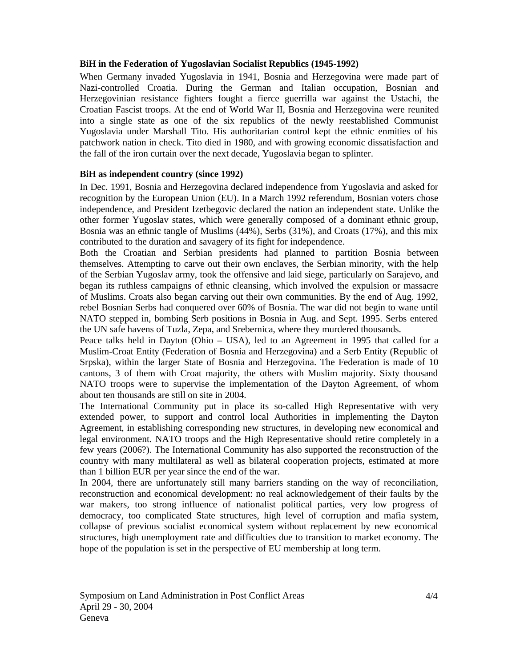#### **BiH in the Federation of Yugoslavian Socialist Republics (1945-1992)**

When Germany invaded Yugoslavia in 1941, Bosnia and Herzegovina were made part of Nazi-controlled Croatia. During the German and Italian occupation, Bosnian and Herzegovinian resistance fighters fought a fierce guerrilla war against the Ustachi, the Croatian Fascist troops. At the end of World War II, Bosnia and Herzegovina were reunited into a single state as one of the six republics of the newly reestablished Communist Yugoslavia under Marshall Tito. His authoritarian control kept the ethnic enmities of his patchwork nation in check. Tito died in 1980, and with growing economic dissatisfaction and the fall of the iron curtain over the next decade, Yugoslavia began to splinter.

## **BiH as independent country (since 1992)**

In Dec. 1991, Bosnia and Herzegovina declared independence from Yugoslavia and asked for recognition by the European Union (EU). In a March 1992 referendum, Bosnian voters chose independence, and President Izetbegovic declared the nation an independent state. Unlike the other former Yugoslav states, which were generally composed of a dominant ethnic group, Bosnia was an ethnic tangle of Muslims (44%), Serbs (31%), and Croats (17%), and this mix contributed to the duration and savagery of its fight for independence.

Both the Croatian and Serbian presidents had planned to partition Bosnia between themselves. Attempting to carve out their own enclaves, the Serbian minority, with the help of the Serbian Yugoslav army, took the offensive and laid siege, particularly on Sarajevo, and began its ruthless campaigns of ethnic cleansing, which involved the expulsion or massacre of Muslims. Croats also began carving out their own communities. By the end of Aug. 1992, rebel Bosnian Serbs had conquered over 60% of Bosnia. The war did not begin to wane until NATO stepped in, bombing Serb positions in Bosnia in Aug. and Sept. 1995. Serbs entered the UN safe havens of Tuzla, Zepa, and Srebernica, where they murdered thousands.

Peace talks held in Dayton (Ohio – USA), led to an Agreement in 1995 that called for a Muslim-Croat Entity (Federation of Bosnia and Herzegovina) and a Serb Entity (Republic of Srpska), within the larger State of Bosnia and Herzegovina. The Federation is made of 10 cantons, 3 of them with Croat majority, the others with Muslim majority. Sixty thousand NATO troops were to supervise the implementation of the Dayton Agreement, of whom about ten thousands are still on site in 2004.

The International Community put in place its so-called High Representative with very extended power, to support and control local Authorities in implementing the Dayton Agreement, in establishing corresponding new structures, in developing new economical and legal environment. NATO troops and the High Representative should retire completely in a few years (2006?). The International Community has also supported the reconstruction of the country with many multilateral as well as bilateral cooperation projects, estimated at more than 1 billion EUR per year since the end of the war.

In 2004, there are unfortunately still many barriers standing on the way of reconciliation, reconstruction and economical development: no real acknowledgement of their faults by the war makers, too strong influence of nationalist political parties, very low progress of democracy, too complicated State structures, high level of corruption and mafia system, collapse of previous socialist economical system without replacement by new economical structures, high unemployment rate and difficulties due to transition to market economy. The hope of the population is set in the perspective of EU membership at long term.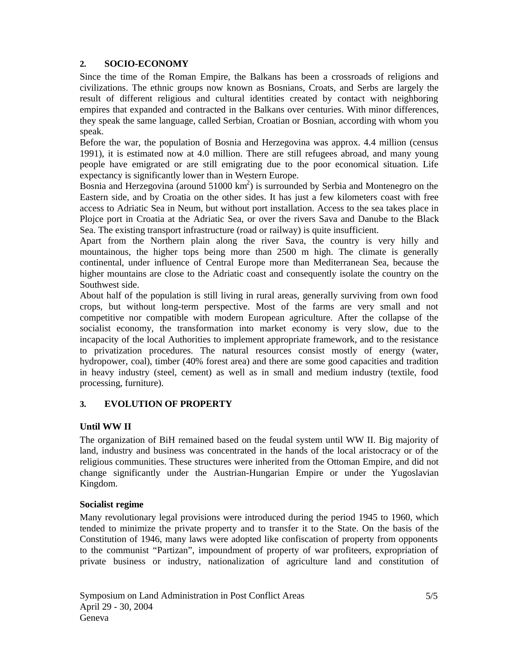## **2. SOCIO-ECONOMY**

Since the time of the Roman Empire, the Balkans has been a crossroads of religions and civilizations. The ethnic groups now known as Bosnians, Croats, and Serbs are largely the result of different religious and cultural identities created by contact with neighboring empires that expanded and contracted in the Balkans over centuries. With minor differences, they speak the same language, called Serbian, Croatian or Bosnian, according with whom you speak.

Before the war, the population of Bosnia and Herzegovina was approx. 4.4 million (census 1991), it is estimated now at 4.0 million. There are still refugees abroad, and many young people have emigrated or are still emigrating due to the poor economical situation. Life expectancy is significantly lower than in Western Europe.

Bosnia and Herzegovina (around 51000 km<sup>2</sup>) is surrounded by Serbia and Montenegro on the Eastern side, and by Croatia on the other sides. It has just a few kilometers coast with free access to Adriatic Sea in Neum, but without port installation. Access to the sea takes place in Plojce port in Croatia at the Adriatic Sea, or over the rivers Sava and Danube to the Black Sea. The existing transport infrastructure (road or railway) is quite insufficient.

Apart from the Northern plain along the river Sava, the country is very hilly and mountainous, the higher tops being more than 2500 m high. The climate is generally continental, under influence of Central Europe more than Mediterranean Sea, because the higher mountains are close to the Adriatic coast and consequently isolate the country on the Southwest side.

About half of the population is still living in rural areas, generally surviving from own food crops, but without long-term perspective. Most of the farms are very small and not competitive nor compatible with modern European agriculture. After the collapse of the socialist economy, the transformation into market economy is very slow, due to the incapacity of the local Authorities to implement appropriate framework, and to the resistance to privatization procedures. The natural resources consist mostly of energy (water, hydropower, coal), timber (40% forest area) and there are some good capacities and tradition in heavy industry (steel, cement) as well as in small and medium industry (textile, food processing, furniture).

## **3. EVOLUTION OF PROPERTY**

## **Until WW II**

The organization of BiH remained based on the feudal system until WW II. Big majority of land, industry and business was concentrated in the hands of the local aristocracy or of the religious communities. These structures were inherited from the Ottoman Empire, and did not change significantly under the Austrian-Hungarian Empire or under the Yugoslavian Kingdom.

#### **Socialist regime**

Many revolutionary legal provisions were introduced during the period 1945 to 1960, which tended to minimize the private property and to transfer it to the State. On the basis of the Constitution of 1946, many laws were adopted like confiscation of property from opponents to the communist "Partizan", impoundment of property of war profiteers, expropriation of private business or industry, nationalization of agriculture land and constitution of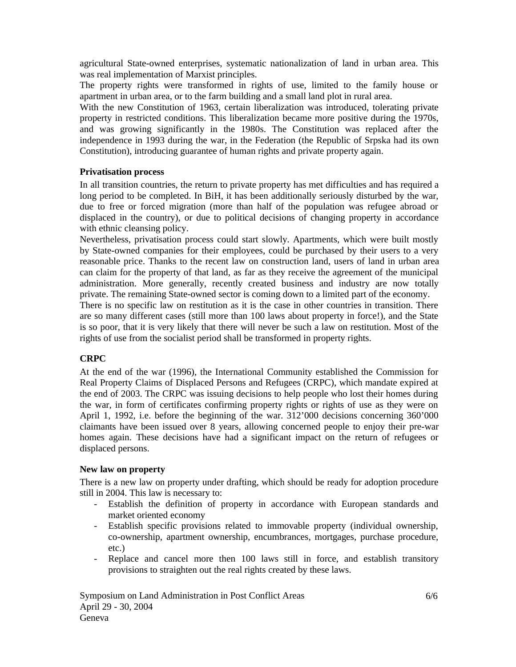agricultural State-owned enterprises, systematic nationalization of land in urban area. This was real implementation of Marxist principles.

The property rights were transformed in rights of use, limited to the family house or apartment in urban area, or to the farm building and a small land plot in rural area.

With the new Constitution of 1963, certain liberalization was introduced, tolerating private property in restricted conditions. This liberalization became more positive during the 1970s, and was growing significantly in the 1980s. The Constitution was replaced after the independence in 1993 during the war, in the Federation (the Republic of Srpska had its own Constitution), introducing guarantee of human rights and private property again.

### **Privatisation process**

In all transition countries, the return to private property has met difficulties and has required a long period to be completed. In BiH, it has been additionally seriously disturbed by the war, due to free or forced migration (more than half of the population was refugee abroad or displaced in the country), or due to political decisions of changing property in accordance with ethnic cleansing policy.

Nevertheless, privatisation process could start slowly. Apartments, which were built mostly by State-owned companies for their employees, could be purchased by their users to a very reasonable price. Thanks to the recent law on construction land, users of land in urban area can claim for the property of that land, as far as they receive the agreement of the municipal administration. More generally, recently created business and industry are now totally private. The remaining State-owned sector is coming down to a limited part of the economy.

There is no specific law on restitution as it is the case in other countries in transition. There are so many different cases (still more than 100 laws about property in force!), and the State is so poor, that it is very likely that there will never be such a law on restitution. Most of the rights of use from the socialist period shall be transformed in property rights.

#### **CRPC**

At the end of the war (1996), the International Community established the Commission for Real Property Claims of Displaced Persons and Refugees (CRPC), which mandate expired at the end of 2003. The CRPC was issuing decisions to help people who lost their homes during the war, in form of certificates confirming property rights or rights of use as they were on April 1, 1992, i.e. before the beginning of the war. 312'000 decisions concerning 360'000 claimants have been issued over 8 years, allowing concerned people to enjoy their pre-war homes again. These decisions have had a significant impact on the return of refugees or displaced persons.

#### **New law on property**

There is a new law on property under drafting, which should be ready for adoption procedure still in 2004. This law is necessary to:

- Establish the definition of property in accordance with European standards and market oriented economy
- Establish specific provisions related to immovable property (individual ownership, co-ownership, apartment ownership, encumbrances, mortgages, purchase procedure, etc.)
- Replace and cancel more then 100 laws still in force, and establish transitory provisions to straighten out the real rights created by these laws.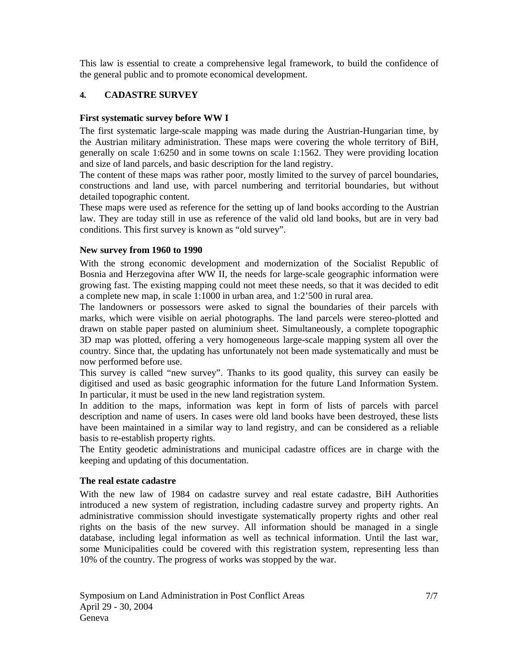This law is essential to create a comprehensive legal framework, to build the confidence of the general public and to promote economical development.

## **4. CADASTRE SURVEY**

#### **First systematic survey before WW I**

The first systematic large-scale mapping was made during the Austrian-Hungarian time, by the Austrian military administration. These maps were covering the whole territory of BiH, generally on scale 1:6250 and in some towns on scale 1:1562. They were providing location and size of land parcels, and basic description for the land registry.

The content of these maps was rather poor, mostly limited to the survey of parcel boundaries, constructions and land use, with parcel numbering and territorial boundaries, but without detailed topographic content.

These maps were used as reference for the setting up of land books according to the Austrian law. They are today still in use as reference of the valid old land books, but are in very bad conditions. This first survey is known as "old survey".

#### **New survey from 1960 to 1990**

With the strong economic development and modernization of the Socialist Republic of Bosnia and Herzegovina after WW II, the needs for large-scale geographic information were growing fast. The existing mapping could not meet these needs, so that it was decided to edit a complete new map, in scale 1:1000 in urban area, and 1:2'500 in rural area.

The landowners or possessors were asked to signal the boundaries of their parcels with marks, which were visible on aerial photographs. The land parcels were stereo-plotted and drawn on stable paper pasted on aluminium sheet. Simultaneously, a complete topographic 3D map was plotted, offering a very homogeneous large-scale mapping system all over the country. Since that, the updating has unfortunately not been made systematically and must be now performed before use.

This survey is called "new survey". Thanks to its good quality, this survey can easily be digitised and used as basic geographic information for the future Land Information System. In particular, it must be used in the new land registration system.

In addition to the maps, information was kept in form of lists of parcels with parcel description and name of users. In cases were old land books have been destroyed, these lists have been maintained in a similar way to land registry, and can be considered as a reliable basis to re-establish property rights.

The Entity geodetic administrations and municipal cadastre offices are in charge with the keeping and updating of this documentation.

#### **The real estate cadastre**

With the new law of 1984 on cadastre survey and real estate cadastre, BiH Authorities introduced a new system of registration, including cadastre survey and property rights. An administrative commission should investigate systematically property rights and other real rights on the basis of the new survey. All information should be managed in a single database, including legal information as well as technical information. Until the last war, some Municipalities could be covered with this registration system, representing less than 10% of the country. The progress of works was stopped by the war.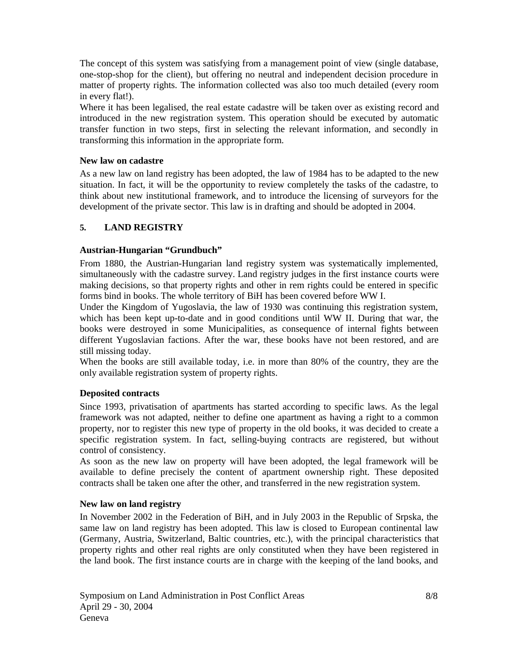The concept of this system was satisfying from a management point of view (single database, one-stop-shop for the client), but offering no neutral and independent decision procedure in matter of property rights. The information collected was also too much detailed (every room in every flat!).

Where it has been legalised, the real estate cadastre will be taken over as existing record and introduced in the new registration system. This operation should be executed by automatic transfer function in two steps, first in selecting the relevant information, and secondly in transforming this information in the appropriate form.

### **New law on cadastre**

As a new law on land registry has been adopted, the law of 1984 has to be adapted to the new situation. In fact, it will be the opportunity to review completely the tasks of the cadastre, to think about new institutional framework, and to introduce the licensing of surveyors for the development of the private sector. This law is in drafting and should be adopted in 2004.

## **5. LAND REGISTRY**

## **Austrian-Hungarian "Grundbuch"**

From 1880, the Austrian-Hungarian land registry system was systematically implemented, simultaneously with the cadastre survey. Land registry judges in the first instance courts were making decisions, so that property rights and other in rem rights could be entered in specific forms bind in books. The whole territory of BiH has been covered before WW I.

Under the Kingdom of Yugoslavia, the law of 1930 was continuing this registration system, which has been kept up-to-date and in good conditions until WW II. During that war, the books were destroyed in some Municipalities, as consequence of internal fights between different Yugoslavian factions. After the war, these books have not been restored, and are still missing today.

When the books are still available today, i.e. in more than 80% of the country, they are the only available registration system of property rights.

#### **Deposited contracts**

Since 1993, privatisation of apartments has started according to specific laws. As the legal framework was not adapted, neither to define one apartment as having a right to a common property, nor to register this new type of property in the old books, it was decided to create a specific registration system. In fact, selling-buying contracts are registered, but without control of consistency.

As soon as the new law on property will have been adopted, the legal framework will be available to define precisely the content of apartment ownership right. These deposited contracts shall be taken one after the other, and transferred in the new registration system.

#### **New law on land registry**

In November 2002 in the Federation of BiH, and in July 2003 in the Republic of Srpska, the same law on land registry has been adopted. This law is closed to European continental law (Germany, Austria, Switzerland, Baltic countries, etc.), with the principal characteristics that property rights and other real rights are only constituted when they have been registered in the land book. The first instance courts are in charge with the keeping of the land books, and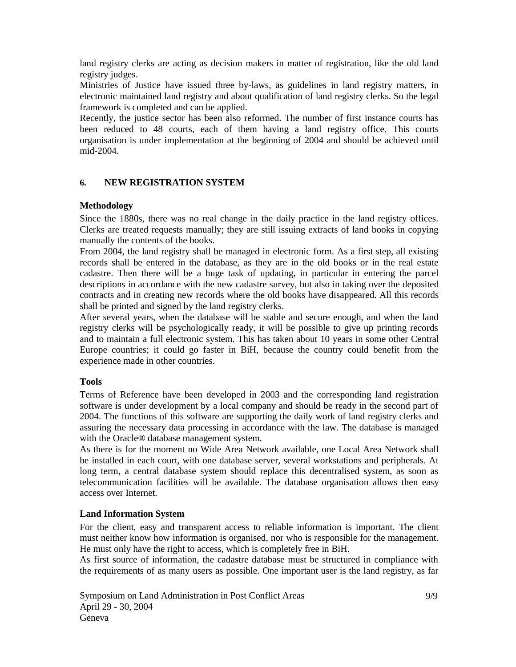land registry clerks are acting as decision makers in matter of registration, like the old land registry judges.

Ministries of Justice have issued three by-laws, as guidelines in land registry matters, in electronic maintained land registry and about qualification of land registry clerks. So the legal framework is completed and can be applied.

Recently, the justice sector has been also reformed. The number of first instance courts has been reduced to 48 courts, each of them having a land registry office. This courts organisation is under implementation at the beginning of 2004 and should be achieved until mid-2004.

### **6. NEW REGISTRATION SYSTEM**

#### **Methodology**

Since the 1880s, there was no real change in the daily practice in the land registry offices. Clerks are treated requests manually; they are still issuing extracts of land books in copying manually the contents of the books.

From 2004, the land registry shall be managed in electronic form. As a first step, all existing records shall be entered in the database, as they are in the old books or in the real estate cadastre. Then there will be a huge task of updating, in particular in entering the parcel descriptions in accordance with the new cadastre survey, but also in taking over the deposited contracts and in creating new records where the old books have disappeared. All this records shall be printed and signed by the land registry clerks.

After several years, when the database will be stable and secure enough, and when the land registry clerks will be psychologically ready, it will be possible to give up printing records and to maintain a full electronic system. This has taken about 10 years in some other Central Europe countries; it could go faster in BiH, because the country could benefit from the experience made in other countries.

#### **Tools**

Terms of Reference have been developed in 2003 and the corresponding land registration software is under development by a local company and should be ready in the second part of 2004. The functions of this software are supporting the daily work of land registry clerks and assuring the necessary data processing in accordance with the law. The database is managed with the Oracle® database management system.

As there is for the moment no Wide Area Network available, one Local Area Network shall be installed in each court, with one database server, several workstations and peripherals. At long term, a central database system should replace this decentralised system, as soon as telecommunication facilities will be available. The database organisation allows then easy access over Internet.

#### **Land Information System**

For the client, easy and transparent access to reliable information is important. The client must neither know how information is organised, nor who is responsible for the management. He must only have the right to access, which is completely free in BiH.

As first source of information, the cadastre database must be structured in compliance with the requirements of as many users as possible. One important user is the land registry, as far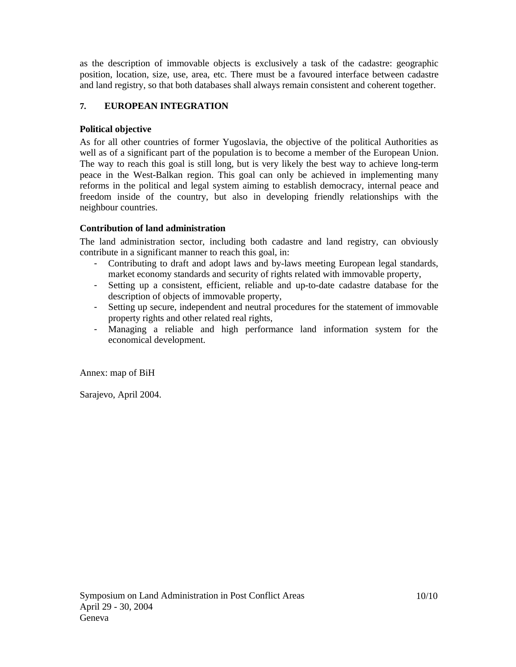as the description of immovable objects is exclusively a task of the cadastre: geographic position, location, size, use, area, etc. There must be a favoured interface between cadastre and land registry, so that both databases shall always remain consistent and coherent together.

# **7. EUROPEAN INTEGRATION**

## **Political objective**

As for all other countries of former Yugoslavia, the objective of the political Authorities as well as of a significant part of the population is to become a member of the European Union. The way to reach this goal is still long, but is very likely the best way to achieve long-term peace in the West-Balkan region. This goal can only be achieved in implementing many reforms in the political and legal system aiming to establish democracy, internal peace and freedom inside of the country, but also in developing friendly relationships with the neighbour countries.

## **Contribution of land administration**

The land administration sector, including both cadastre and land registry, can obviously contribute in a significant manner to reach this goal, in:

- Contributing to draft and adopt laws and by-laws meeting European legal standards, market economy standards and security of rights related with immovable property,
- Setting up a consistent, efficient, reliable and up-to-date cadastre database for the description of objects of immovable property,
- Setting up secure, independent and neutral procedures for the statement of immovable property rights and other related real rights,
- Managing a reliable and high performance land information system for the economical development.

Annex: map of BiH

Sarajevo, April 2004.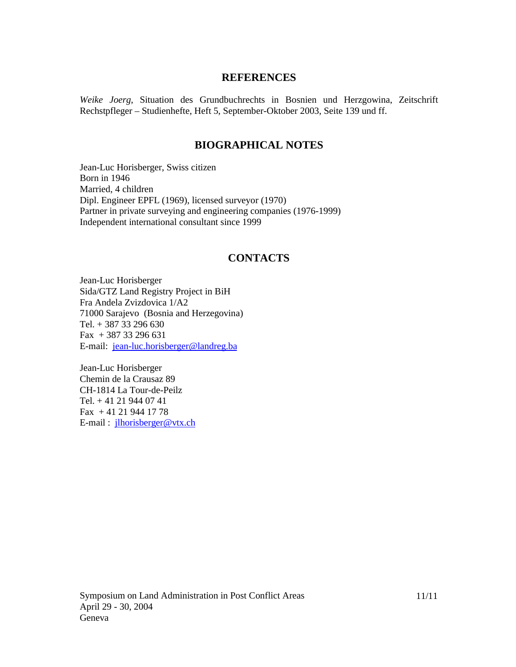## **REFERENCES**

*Weike Joerg*, Situation des Grundbuchrechts in Bosnien und Herzgowina, Zeitschrift Rechstpfleger – Studienhefte, Heft 5, September-Oktober 2003, Seite 139 und ff.

# **BIOGRAPHICAL NOTES**

Jean-Luc Horisberger, Swiss citizen Born in 1946 Married, 4 children Dipl. Engineer EPFL (1969), licensed surveyor (1970) Partner in private surveying and engineering companies (1976-1999) Independent international consultant since 1999

## **CONTACTS**

Jean-Luc Horisberger Sida/GTZ Land Registry Project in BiH Fra Andela Zvizdovica 1/A2 71000 Sarajevo (Bosnia and Herzegovina) Tel. + 387 33 296 630 Fax + 387 33 296 631 E-mail: [jean-luc.horisberger@landreg.ba](mailto:jean-luc.horisberger@landreg.ba)

Jean-Luc Horisberger Chemin de la Crausaz 89 CH-1814 La Tour-de-Peilz Tel. + 41 21 944 07 41 Fax + 41 21 944 17 78 E-mail : [jlhorisberger@vtx.ch](mailto:jlhorisberger@vtx.ch)